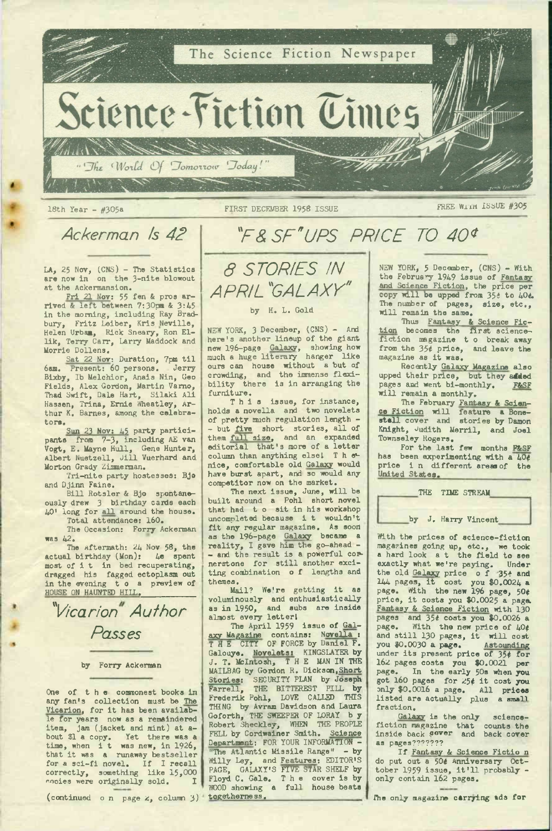

## *Ackerman Is 42 "F& SETUPS PRICE TO 40\**

 $LA<sub>9</sub>$  25 Nov, (CNS) - The Statistics are now in on the 3-nite blowout at the Ackermansion.

Fri 21 Nov: 55 fen & pros ar-<br>2:45 rived & left between 7:30pm & 3:45 in the morning, including Ray Bradbury, Fritz Leiber, Kris Neville, Helen Urbaa, Rick Sneary, Ron El-lik, Terry Carr, Larry Maddock and Morrie Dollens.

Sat <sup>22</sup> Nov: Duration, 7pm til 6am. Present: 60 persons. Jerry 6am. Present: 60 persons. Jerry<br>Bixby, Ib Melchior, Anais Nin, Geo Fields, Alex Gordon, Martin Vamo, Thad Swift, Dale Hart, Silaki Ali Hassen, Trina, Ernie Wheatley, Ar-thur K. Barnes, among the celebratora.

Sun 23 Nov: 45 party partici-<br>pants from 7-3, including AE van Vogt, E. Mayne Hull, Gene Hunter, Albert Nuetzell, Jill Vuerhard and Morton Grady Zimnerman.

Tri-nite party hostesses: Bjo and Djinn Faine.

Bill Rotsler & Bjo spontaneously drew 3 birthday cards each 40' long for all around the house. Total attendance: 160.

The Occasion: Forry Ackerman was 42.

The Aftermath: 24 Nov 58, the actual birthday (Mon): 4e spent most of it in bed recuperating, dragged his fagged ectoplasm out aragged his lagged eccopiasm out<br>in the evening to a preview of<br>HOUSE ON HAUNTED HILL,

*^Vicarion Author Passes*

by Forry Ackerman

One of the commonest books in any fan's collection must be The Vicarion, for it has been available for years now as a remaindered item, jam (jacket and mint) at a-bout \$1 a copy. Yet there was a time, when i t was new, in 1926, that it was <sup>a</sup> runaway bestseller for <sup>a</sup> sci-fi novel. If I recall correctly, something like 15,000<br>cooies were originally sold. I

(continued o n page 2, column 3)

*8 STORIES IN APRIL 'GALAXY\**

## by H. L. Gold

NEW YORK, <sup>3</sup> December, (CNS) - And here's another lineup of the giant<br>new 196-page Galaxy, showing how<br>much a huge literary hanger like ours can house without a but of crowding, and the immense flexi-bility there is in arranging the furniture.

This issue, for instance, holds a novella and two novelets of pretty much regulation length - - but five short stories, all of<br>them full size, and an expanded<br>editorial that's more of a letter column than anything else! Thenice, comfortable old Galaxy would have burst apart, and so would any competitor now on the market.

The next issue, June, will be<br>built around a Pohl short novel that had t <sup>o</sup> sit in his workshop uncompleted because i t wouldn't fit any regular magazine. As soon as the 196-page Galaxy became a reality, I gave him the go-ahead - - and the result is a powerful cornerstone for still another exciting combination <sup>o</sup> f lengths and themes.

Mail? We're getting it as voluminously and enthusiastically as in 1950, and subs are inside almost every letter<sup>I</sup>

The April 1959 issue of Galaxy Magazine contains: Novella : THE CITY OF FORCE by Daniel F. Galouye. Novelets: KINGSLAYER by<br>J. T. McIntosh, T H E MAN IN THE MAILBAG by Gordon R. Dickson,Short Stories: SECURITY PLAN by Joseph THE BITTEREST PILL by<br>Pohl, LOVE CALLED THIS Frederik Pohl, LOVE CALLED THING by Avram Davidson and Laura Goforth, THE SWEEPER OF LORAY b y Robert Sheckley, WHEN THE PEOPLE FELL by Cordwainer Smith. Science Department: FOR YOUR INFORMATION - "The Atlantic Missile Range" - by Willy Ley, and Features: EDITOR'S PAGE, GALAXY'S FIVE STAR SHELF by Floyd C. Gale. The cover is by<br>WOOD showing a full house beats togetherness.

NEW YORK, <sup>5</sup> December, (CNS) - With the February 1949 issue of Fantasy and Science Fiction, the price per<br>copy will be upped from 35# to 404. The number of pages, size, etc., will remain the same.

Thus Fantasy & Science Fic-<br>becomes the first sciencetion becomes the first sciencefrom the 35¢ price, and leave the magazine as it was.

Recently Galaxy Magazine also upped their price, but they **aided** pages and went bi-monthly. F&SF will remain a monthly.

The February Fantasy & Scien-ce Fiction will feature a Bone-<br>stall cover and stories by Damon Knight, Judith Merril, and Joel Townseley Rogers.

For the last few months F&SF has been experimenting with a 40# price i <sup>n</sup> different areas of the United States.

THE TIME STREAM

## by J. Harry Vincent

With the prices of science-fiction magazines going up, etc., we took <sup>a</sup> hard look <sup>a</sup> t the field to see exactly what we're paying. Under the old Galaxy price of 354 and<br>
144 pages, it cost you \$0.0024 a<br>
page. With the new 196 page, 50 price, it costs you \$0.0025 & page. Fantasy & Science Fiction with 130 pages and 35# costs you \$0.0026 a With the new price of  $40¢$ and still 130 pages, it will cost<br>you 30.0030 a page. Astounding you  $0.0030$  a page. Astounding<br>under its present price of 354 for 162 pages costs you \$0.0021 per page. In the early 50s when you page. In the early bos when you<br>got 160 pages for 25¢ it cost you<br>only \$0.0016 a page. All prices listed are actually plus a small fraction.

Galaxy is the only science-<br>fiction magazine that counts the<br>inside back gover and back cover as pages???????

If Fantasy & Science Fictio <sup>n</sup> do put out a 50¢ Anniversary Oct-<br>tober 1959 issue, it'll probably -<br>only contain 162 pages.

The only magazine carrying ads for